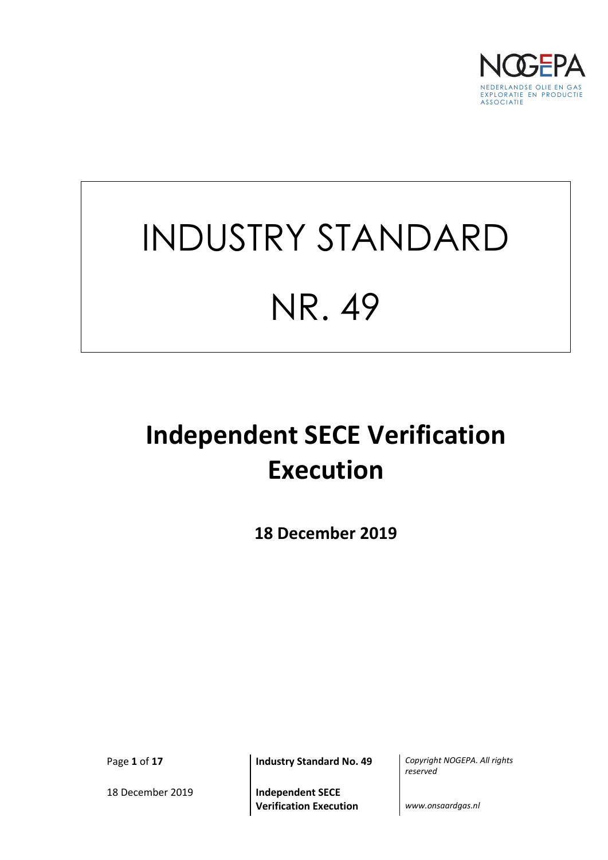

# INDUSTRY STANDARD NR. 49

## **Independent SECE Verification Execution**

**18 December 2019**

18 December 2019 **Independent SECE** 

Page **1** of **17 Industry Standard No. 49** *Copyright NOGEPA. All rights* 

**Verification Execution** *www.onsaardgas.nl*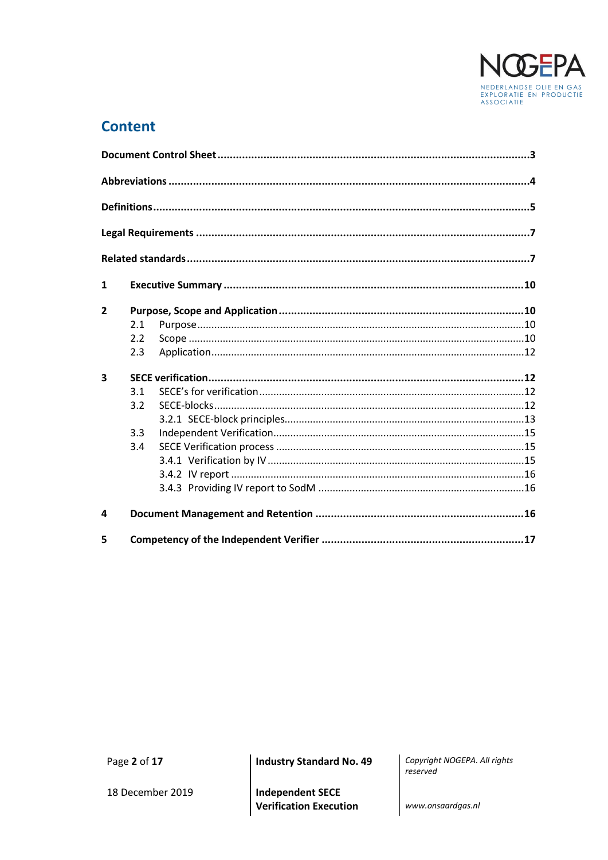

## **Content**

| 1              |     |  |  |
|----------------|-----|--|--|
| $\overline{2}$ |     |  |  |
|                | 2.1 |  |  |
|                | 2.2 |  |  |
|                | 2.3 |  |  |
| 3              |     |  |  |
|                | 3.1 |  |  |
|                | 3.2 |  |  |
|                |     |  |  |
|                | 3.3 |  |  |
|                | 3.4 |  |  |
|                |     |  |  |
|                |     |  |  |
|                |     |  |  |
| 4              |     |  |  |
| 5              |     |  |  |

Page 2 of 17

**Industry Standard No. 49** 

Copyright NOGEPA. All rights reserved

**Independent SECE Verification Execution**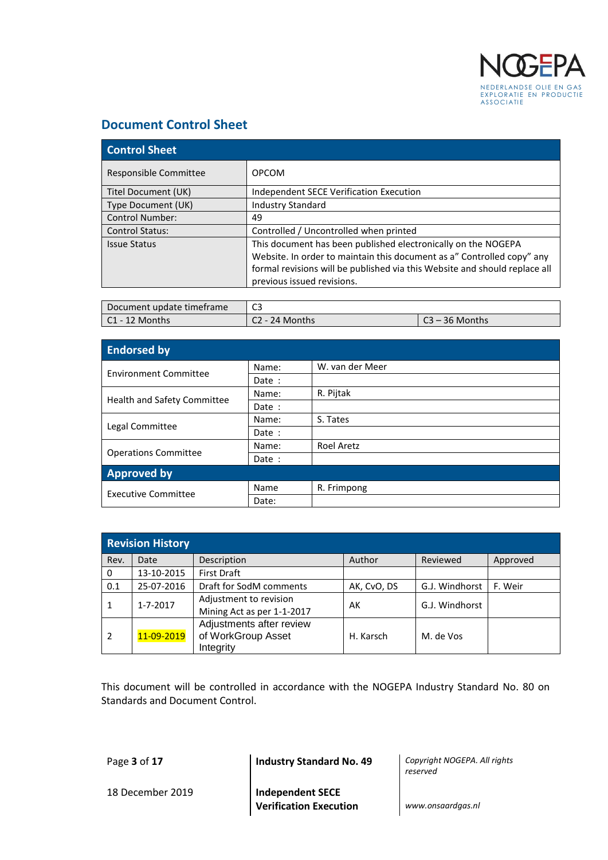

### <span id="page-2-0"></span>**Document Control Sheet**

| <b>Control Sheet</b>   |                                                                                                                                                                                                                                                     |  |
|------------------------|-----------------------------------------------------------------------------------------------------------------------------------------------------------------------------------------------------------------------------------------------------|--|
| Responsible Committee  | <b>OPCOM</b>                                                                                                                                                                                                                                        |  |
| Titel Document (UK)    | Independent SECE Verification Execution                                                                                                                                                                                                             |  |
| Type Document (UK)     | <b>Industry Standard</b>                                                                                                                                                                                                                            |  |
| <b>Control Number:</b> | 49                                                                                                                                                                                                                                                  |  |
| <b>Control Status:</b> | Controlled / Uncontrolled when printed                                                                                                                                                                                                              |  |
| <b>Issue Status</b>    | This document has been published electronically on the NOGEPA<br>Website. In order to maintain this document as a" Controlled copy" any<br>formal revisions will be published via this Website and should replace all<br>previous issued revisions. |  |

| Document update timeframe | C <sub>3</sub>                            |                  |
|---------------------------|-------------------------------------------|------------------|
| l C1 - 12 Months          | C <sub>2</sub><br>$\sim$ 24 Months $\sim$ | $C3 - 36$ Months |

| <b>Endorsed by</b>           |       |                   |
|------------------------------|-------|-------------------|
| <b>Environment Committee</b> | Name: | W. van der Meer   |
|                              | Date: |                   |
|                              | Name: | R. Pijtak         |
| Health and Safety Committee  | Date: |                   |
|                              | Name: | S. Tates          |
| Legal Committee              | Date: |                   |
|                              | Name: | <b>Roel Aretz</b> |
| <b>Operations Committee</b>  | Date: |                   |
| <b>Approved by</b>           |       |                   |
|                              | Name  | R. Frimpong       |
| <b>Executive Committee</b>   | Date: |                   |

|               | <b>Revision History</b> |                                                             |             |                |          |
|---------------|-------------------------|-------------------------------------------------------------|-------------|----------------|----------|
| Rev.          | Date                    | Description                                                 | Author      | Reviewed       | Approved |
| 0             | 13-10-2015              | <b>First Draft</b>                                          |             |                |          |
| 0.1           | 25-07-2016              | Draft for SodM comments                                     | AK, CvO, DS | G.J. Windhorst | F. Weir  |
|               | $1 - 7 - 2017$          | Adjustment to revision<br>Mining Act as per 1-1-2017        | AK          | G.J. Windhorst |          |
| $\mathcal{P}$ | 11-09-2019              | Adjustments after review<br>of WorkGroup Asset<br>Integrity | H. Karsch   | M. de Vos      |          |

This document will be controlled in accordance with the NOGEPA Industry Standard No. 80 on Standards and Document Control.

Page **3** of **17 Industry Standard No. 49** *Copyright NOGEPA. All rights* 

18 December 2019 **Independent SECE Verification Execution** *www.onsaardgas.nl*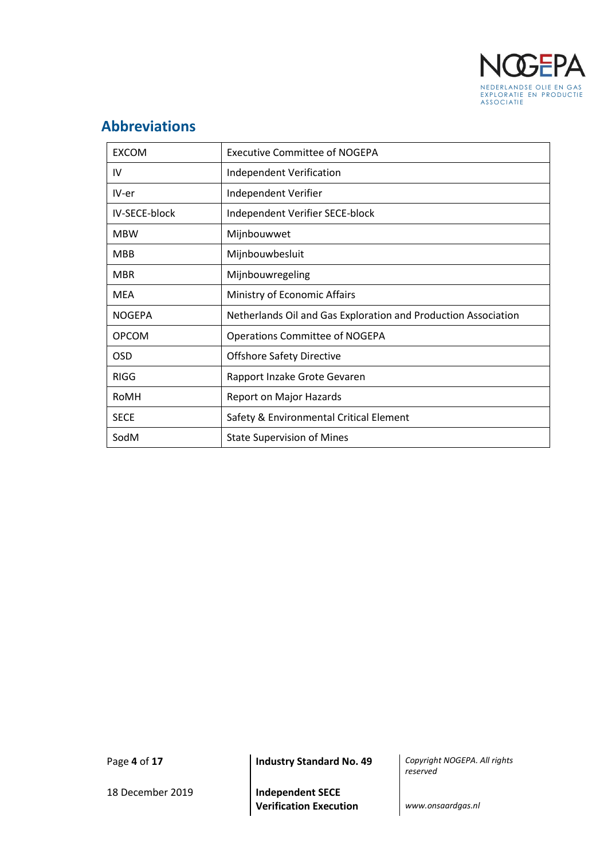

## <span id="page-3-0"></span>**Abbreviations**

| <b>EXCOM</b>  | <b>Executive Committee of NOGEPA</b>                           |
|---------------|----------------------------------------------------------------|
| IV            | <b>Independent Verification</b>                                |
| IV-er         | Independent Verifier                                           |
| IV-SECE-block | Independent Verifier SECE-block                                |
| <b>MBW</b>    | Mijnbouwwet                                                    |
| <b>MBB</b>    | Mijnbouwbesluit                                                |
| <b>MBR</b>    | Mijnbouwregeling                                               |
| MEA           | Ministry of Economic Affairs                                   |
| <b>NOGEPA</b> | Netherlands Oil and Gas Exploration and Production Association |
| <b>OPCOM</b>  | <b>Operations Committee of NOGEPA</b>                          |
| <b>OSD</b>    | <b>Offshore Safety Directive</b>                               |
| <b>RIGG</b>   | Rapport Inzake Grote Gevaren                                   |
| RoMH          | Report on Major Hazards                                        |
| <b>SECE</b>   | Safety & Environmental Critical Element                        |
| SodM          | State Supervision of Mines                                     |

18 December 2019 **Independent SECE** 

Page **4** of **17 Industry Standard No. 49** *Copyright NOGEPA. All rights* 

**Verification Execution** *www.onsaardgas.nl*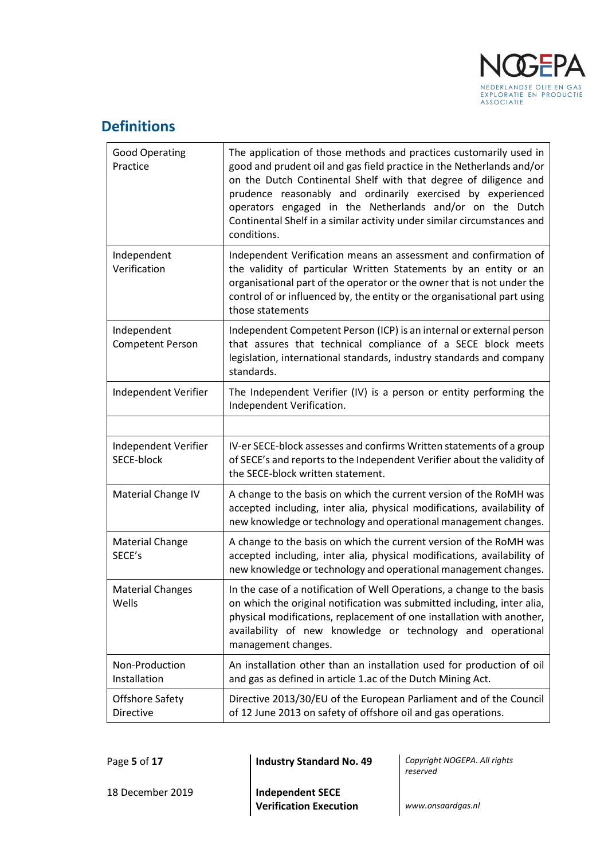

## <span id="page-4-0"></span>**Definitions**

| <b>Good Operating</b><br>Practice      | The application of those methods and practices customarily used in<br>good and prudent oil and gas field practice in the Netherlands and/or<br>on the Dutch Continental Shelf with that degree of diligence and<br>prudence reasonably and ordinarily exercised by experienced<br>operators engaged in the Netherlands and/or on the Dutch<br>Continental Shelf in a similar activity under similar circumstances and<br>conditions. |
|----------------------------------------|--------------------------------------------------------------------------------------------------------------------------------------------------------------------------------------------------------------------------------------------------------------------------------------------------------------------------------------------------------------------------------------------------------------------------------------|
| Independent<br>Verification            | Independent Verification means an assessment and confirmation of<br>the validity of particular Written Statements by an entity or an<br>organisational part of the operator or the owner that is not under the<br>control of or influenced by, the entity or the organisational part using<br>those statements                                                                                                                       |
| Independent<br><b>Competent Person</b> | Independent Competent Person (ICP) is an internal or external person<br>that assures that technical compliance of a SECE block meets<br>legislation, international standards, industry standards and company<br>standards.                                                                                                                                                                                                           |
| Independent Verifier                   | The Independent Verifier (IV) is a person or entity performing the<br>Independent Verification.                                                                                                                                                                                                                                                                                                                                      |
|                                        |                                                                                                                                                                                                                                                                                                                                                                                                                                      |
| Independent Verifier<br>SECE-block     | IV-er SECE-block assesses and confirms Written statements of a group<br>of SECE's and reports to the Independent Verifier about the validity of<br>the SECE-block written statement.                                                                                                                                                                                                                                                 |
| Material Change IV                     | A change to the basis on which the current version of the RoMH was<br>accepted including, inter alia, physical modifications, availability of<br>new knowledge or technology and operational management changes.                                                                                                                                                                                                                     |
| <b>Material Change</b><br>SECE's       | A change to the basis on which the current version of the RoMH was<br>accepted including, inter alia, physical modifications, availability of<br>new knowledge or technology and operational management changes.                                                                                                                                                                                                                     |
| <b>Material Changes</b><br>wells       | In the case of a notification of Well Operations, a change to the basis<br>on which the original notification was submitted including, inter alia,<br>physical modifications, replacement of one installation with another,<br>availability of new knowledge or technology and operational<br>management changes.                                                                                                                    |
| Non-Production<br>Installation         | An installation other than an installation used for production of oil<br>and gas as defined in article 1.ac of the Dutch Mining Act.                                                                                                                                                                                                                                                                                                 |
| Offshore Safety<br>Directive           | Directive 2013/30/EU of the European Parliament and of the Council<br>of 12 June 2013 on safety of offshore oil and gas operations.                                                                                                                                                                                                                                                                                                  |

Page **5** of **17 Industry Standard No. 49** *Copyright NOGEPA. All rights* 

18 December 2019 **Independent SECE** 

**Verification Execution** *www.onsaardgas.nl*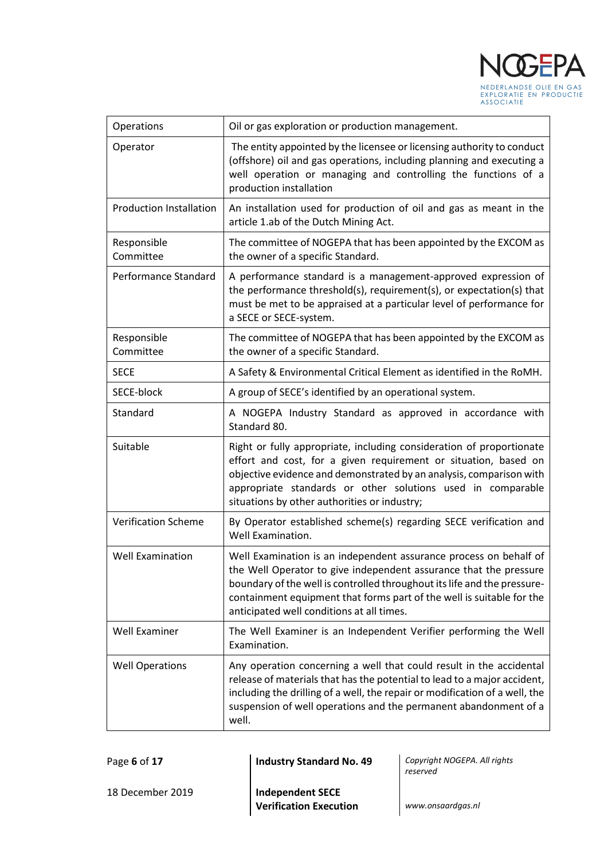

| Operations                     | Oil or gas exploration or production management.                                                                                                                                                                                                                                                                                         |
|--------------------------------|------------------------------------------------------------------------------------------------------------------------------------------------------------------------------------------------------------------------------------------------------------------------------------------------------------------------------------------|
| Operator                       | The entity appointed by the licensee or licensing authority to conduct<br>(offshore) oil and gas operations, including planning and executing a<br>well operation or managing and controlling the functions of a<br>production installation                                                                                              |
| <b>Production Installation</b> | An installation used for production of oil and gas as meant in the<br>article 1.ab of the Dutch Mining Act.                                                                                                                                                                                                                              |
| Responsible<br>Committee       | The committee of NOGEPA that has been appointed by the EXCOM as<br>the owner of a specific Standard.                                                                                                                                                                                                                                     |
| Performance Standard           | A performance standard is a management-approved expression of<br>the performance threshold(s), requirement(s), or expectation(s) that<br>must be met to be appraised at a particular level of performance for<br>a SECE or SECE-system.                                                                                                  |
| Responsible<br>Committee       | The committee of NOGEPA that has been appointed by the EXCOM as<br>the owner of a specific Standard.                                                                                                                                                                                                                                     |
| <b>SECE</b>                    | A Safety & Environmental Critical Element as identified in the RoMH.                                                                                                                                                                                                                                                                     |
| SECE-block                     | A group of SECE's identified by an operational system.                                                                                                                                                                                                                                                                                   |
| Standard                       | A NOGEPA Industry Standard as approved in accordance with<br>Standard 80.                                                                                                                                                                                                                                                                |
| Suitable                       | Right or fully appropriate, including consideration of proportionate<br>effort and cost, for a given requirement or situation, based on<br>objective evidence and demonstrated by an analysis, comparison with<br>appropriate standards or other solutions used in comparable<br>situations by other authorities or industry;            |
| Verification Scheme            | By Operator established scheme(s) regarding SECE verification and<br>Well Examination.                                                                                                                                                                                                                                                   |
| <b>Well Examination</b>        | Well Examination is an independent assurance process on behalf of<br>the Well Operator to give independent assurance that the pressure<br>boundary of the well is controlled throughout its life and the pressure-<br>containment equipment that forms part of the well is suitable for the<br>anticipated well conditions at all times. |
| <b>Well Examiner</b>           | The Well Examiner is an Independent Verifier performing the Well<br>Examination.                                                                                                                                                                                                                                                         |
| <b>Well Operations</b>         | Any operation concerning a well that could result in the accidental<br>release of materials that has the potential to lead to a major accident,<br>including the drilling of a well, the repair or modification of a well, the<br>suspension of well operations and the permanent abandonment of a<br>well.                              |

18 December 2019 **Independent SECE** 

**Verification Execution** *www.onsaardgas.nl*

Page **6** of **17 Industry Standard No. 49** *Copyright NOGEPA. All rights reserved*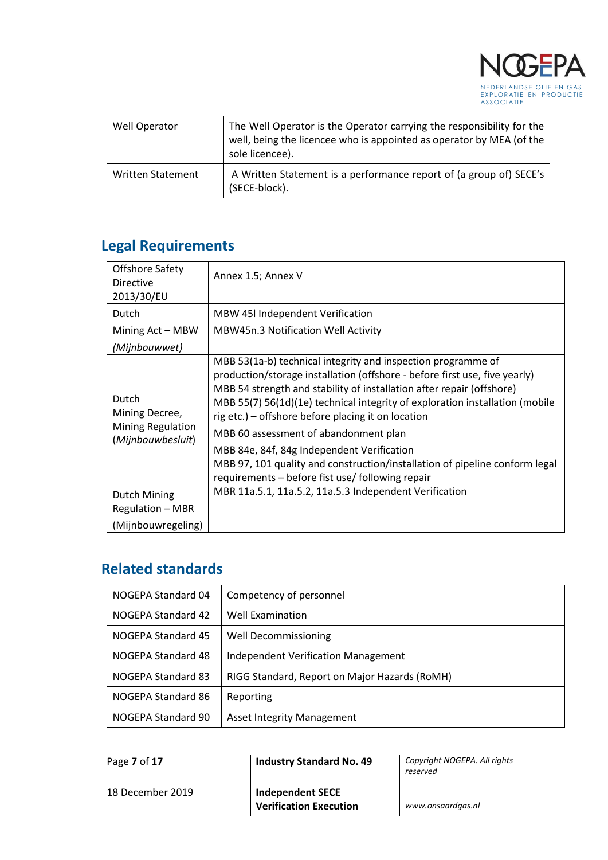

| <b>Well Operator</b>     | The Well Operator is the Operator carrying the responsibility for the<br>well, being the licencee who is appointed as operator by MEA (of the<br>sole licencee). |
|--------------------------|------------------------------------------------------------------------------------------------------------------------------------------------------------------|
| <b>Written Statement</b> | A Written Statement is a performance report of (a group of) SECE's<br>(SECE-block).                                                                              |

## <span id="page-6-0"></span>**Legal Requirements**

| Offshore Safety<br><b>Directive</b><br>2013/30/EU                        | Annex 1.5; Annex V                                                                                                                                                                                                                                                                                                                                                                                 |
|--------------------------------------------------------------------------|----------------------------------------------------------------------------------------------------------------------------------------------------------------------------------------------------------------------------------------------------------------------------------------------------------------------------------------------------------------------------------------------------|
| Dutch                                                                    | MBW 45I Independent Verification                                                                                                                                                                                                                                                                                                                                                                   |
| Mining Act - MBW                                                         | MBW45n.3 Notification Well Activity                                                                                                                                                                                                                                                                                                                                                                |
| (Mijnbouwwet)                                                            |                                                                                                                                                                                                                                                                                                                                                                                                    |
| Dutch<br>Mining Decree,<br><b>Mining Regulation</b><br>(Mijnbouwbesluit) | MBB 53(1a-b) technical integrity and inspection programme of<br>production/storage installation (offshore - before first use, five yearly)<br>MBB 54 strength and stability of installation after repair (offshore)<br>MBB 55(7) 56(1d)(1e) technical integrity of exploration installation (mobile<br>rig etc.) – offshore before placing it on location<br>MBB 60 assessment of abandonment plan |
|                                                                          | MBB 84e, 84f, 84g Independent Verification<br>MBB 97, 101 quality and construction/installation of pipeline conform legal<br>requirements - before fist use/ following repair                                                                                                                                                                                                                      |
| Dutch Mining                                                             | MBR 11a.5.1, 11a.5.2, 11a.5.3 Independent Verification                                                                                                                                                                                                                                                                                                                                             |
| Regulation - MBR                                                         |                                                                                                                                                                                                                                                                                                                                                                                                    |
| (Mijnbouwregeling)                                                       |                                                                                                                                                                                                                                                                                                                                                                                                    |

## <span id="page-6-1"></span>**Related standards**

| NOGEPA Standard 04 | Competency of personnel                       |
|--------------------|-----------------------------------------------|
| NOGEPA Standard 42 | Well Examination                              |
| NOGEPA Standard 45 | <b>Well Decommissioning</b>                   |
| NOGEPA Standard 48 | Independent Verification Management           |
| NOGEPA Standard 83 | RIGG Standard, Report on Major Hazards (RoMH) |
| NOGEPA Standard 86 | Reporting                                     |
| NOGEPA Standard 90 | <b>Asset Integrity Management</b>             |

Page **7** of **17 Industry Standard No. 49** *Copyright NOGEPA. All rights* 

18 December 2019 **Independent SECE** 

**Verification Execution** *www.onsaardgas.nl*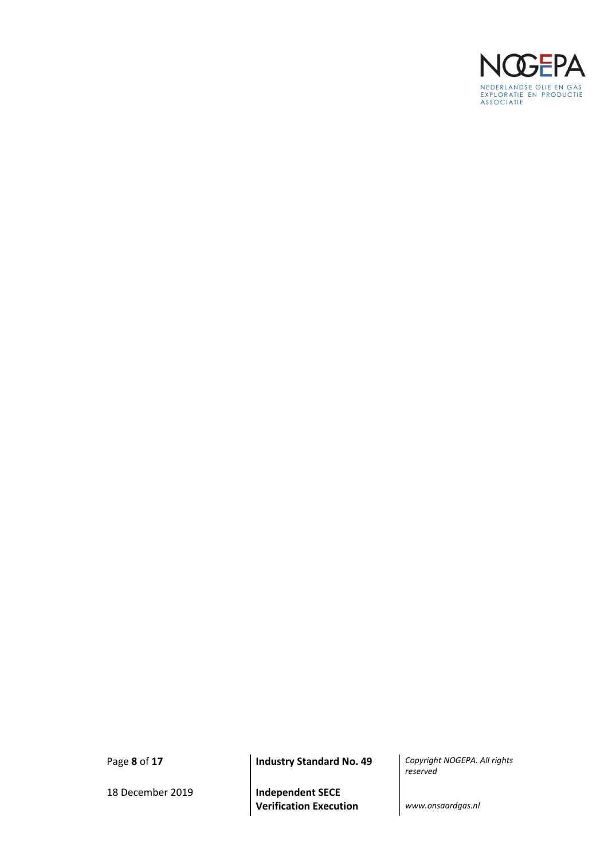

Page **8** of **17 Industry Standard No. 49** *Copyright NOGEPA. All rights* 

18 December 2019 **Independent SECE Verification Execution** *www.onsaardgas.nl*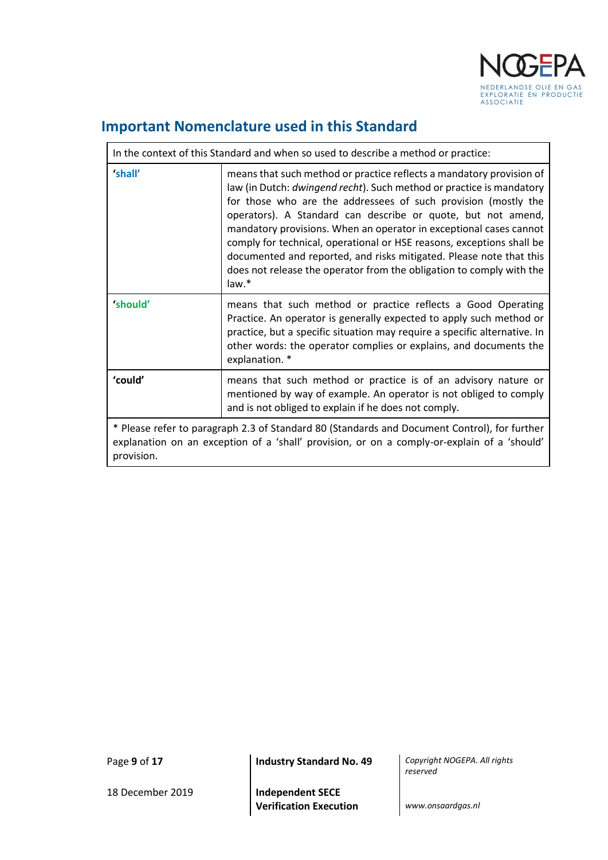

## **Important Nomenclature used in this Standard**

| In the context of this Standard and when so used to describe a method or practice:                                                                                                                        |                                                                                                                                                                                                                                                                                                                                                                                                                                                                                                                                                                                       |  |
|-----------------------------------------------------------------------------------------------------------------------------------------------------------------------------------------------------------|---------------------------------------------------------------------------------------------------------------------------------------------------------------------------------------------------------------------------------------------------------------------------------------------------------------------------------------------------------------------------------------------------------------------------------------------------------------------------------------------------------------------------------------------------------------------------------------|--|
| 'shall'                                                                                                                                                                                                   | means that such method or practice reflects a mandatory provision of<br>law (in Dutch: dwingend recht). Such method or practice is mandatory<br>for those who are the addressees of such provision (mostly the<br>operators). A Standard can describe or quote, but not amend,<br>mandatory provisions. When an operator in exceptional cases cannot<br>comply for technical, operational or HSE reasons, exceptions shall be<br>documented and reported, and risks mitigated. Please note that this<br>does not release the operator from the obligation to comply with the<br>law.* |  |
| 'should'                                                                                                                                                                                                  | means that such method or practice reflects a Good Operating<br>Practice. An operator is generally expected to apply such method or<br>practice, but a specific situation may require a specific alternative. In<br>other words: the operator complies or explains, and documents the<br>explanation. *                                                                                                                                                                                                                                                                               |  |
| 'could'                                                                                                                                                                                                   | means that such method or practice is of an advisory nature or<br>mentioned by way of example. An operator is not obliged to comply<br>and is not obliged to explain if he does not comply.                                                                                                                                                                                                                                                                                                                                                                                           |  |
| * Please refer to paragraph 2.3 of Standard 80 (Standards and Document Control), for further<br>explanation on an exception of a 'shall' provision, or on a comply-or-explain of a 'should'<br>provision. |                                                                                                                                                                                                                                                                                                                                                                                                                                                                                                                                                                                       |  |

Page **9** of **17 Industry Standard No. 49** *Copyright NOGEPA. All rights* 

18 December 2019 **Independent SECE Verification Execution** *www.onsaardgas.nl*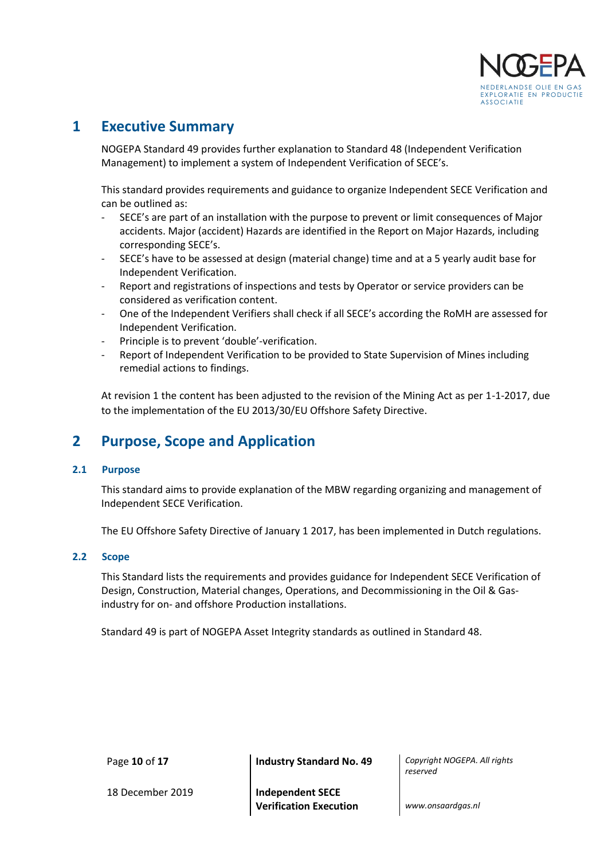

## **1 Executive Summary**

<span id="page-9-0"></span>NOGEPA Standard 49 provides further explanation to Standard 48 (Independent Verification Management) to implement a system of Independent Verification of SECE's.

This standard provides requirements and guidance to organize Independent SECE Verification and can be outlined as:

- SECE's are part of an installation with the purpose to prevent or limit consequences of Major accidents. Major (accident) Hazards are identified in the Report on Major Hazards, including corresponding SECE's.
- SECE's have to be assessed at design (material change) time and at a 5 yearly audit base for Independent Verification.
- Report and registrations of inspections and tests by Operator or service providers can be considered as verification content.
- One of the Independent Verifiers shall check if all SECE's according the RoMH are assessed for Independent Verification.
- Principle is to prevent 'double'-verification.
- Report of Independent Verification to be provided to State Supervision of Mines including remedial actions to findings.

<span id="page-9-1"></span>At revision 1 the content has been adjusted to the revision of the Mining Act as per 1-1-2017, due to the implementation of the EU 2013/30/EU Offshore Safety Directive.

## **2 Purpose, Scope and Application**

#### **2.1 Purpose**

<span id="page-9-2"></span>This standard aims to provide explanation of the MBW regarding organizing and management of Independent SECE Verification.

<span id="page-9-3"></span>The EU Offshore Safety Directive of January 1 2017, has been implemented in Dutch regulations.

#### **2.2 Scope**

This Standard lists the requirements and provides guidance for Independent SECE Verification of Design, Construction, Material changes, Operations, and Decommissioning in the Oil & Gasindustry for on- and offshore Production installations.

Standard 49 is part of NOGEPA Asset Integrity standards as outlined in Standard 48.

18 December 2019 **Independent SECE** 

Page **10** of **17 Industry Standard No. 49** *Copyright NOGEPA. All rights* 

**Verification Execution** *www.onsaardgas.nl*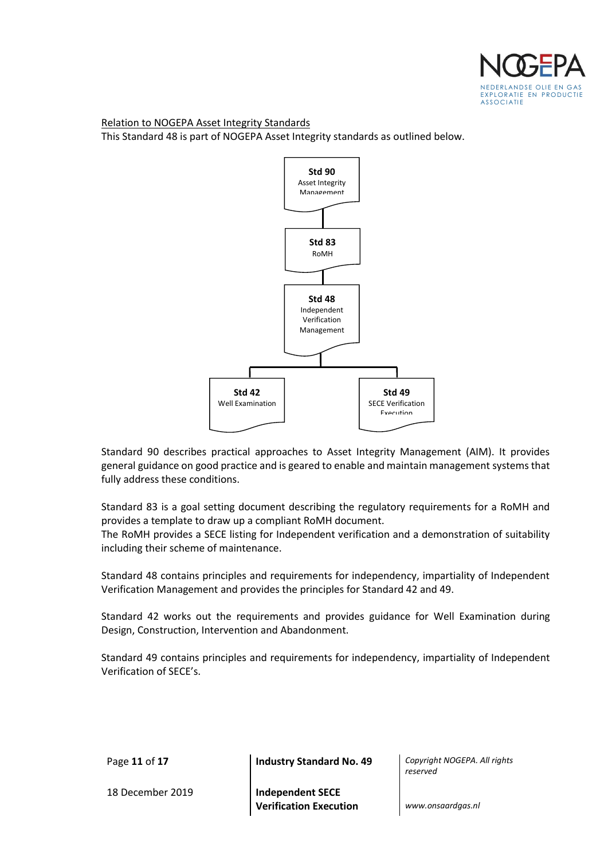

#### Relation to NOGEPA Asset Integrity Standards

This Standard 48 is part of NOGEPA Asset Integrity standards as outlined below.



Standard 90 describes practical approaches to Asset Integrity Management (AIM). It provides general guidance on good practice and is geared to enable and maintain management systems that fully address these conditions.

Standard 83 is a goal setting document describing the regulatory requirements for a RoMH and provides a template to draw up a compliant RoMH document.

The RoMH provides a SECE listing for Independent verification and a demonstration of suitability including their scheme of maintenance.

Standard 48 contains principles and requirements for independency, impartiality of Independent Verification Management and provides the principles for Standard 42 and 49.

Standard 42 works out the requirements and provides guidance for Well Examination during Design, Construction, Intervention and Abandonment.

Standard 49 contains principles and requirements for independency, impartiality of Independent Verification of SECE's.

Page **11** of **17 Industry Standard No. 49** *Copyright NOGEPA. All rights* 

18 December 2019 **Independent SECE Verification Execution** *www.onsaardgas.nl*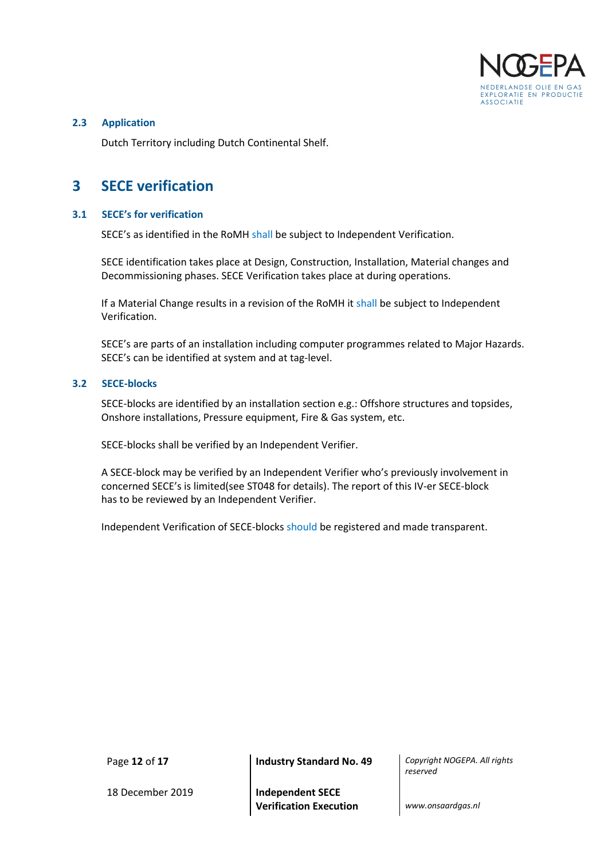

#### **2.3 Application**

<span id="page-11-1"></span><span id="page-11-0"></span>Dutch Territory including Dutch Continental Shelf.

## **3 SECE verification**

#### **3.1 SECE's for verification**

<span id="page-11-2"></span>SECE's as identified in the RoMH shall be subject to Independent Verification.

SECE identification takes place at Design, Construction, Installation, Material changes and Decommissioning phases. SECE Verification takes place at during operations.

If a Material Change results in a revision of the RoMH it shall be subject to Independent Verification.

<span id="page-11-3"></span>SECE's are parts of an installation including computer programmes related to Major Hazards. SECE's can be identified at system and at tag-level.

#### **3.2 SECE-blocks**

SECE-blocks are identified by an installation section e.g.: Offshore structures and topsides, Onshore installations, Pressure equipment, Fire & Gas system, etc.

SECE-blocks shall be verified by an Independent Verifier.

A SECE-block may be verified by an Independent Verifier who's previously involvement in concerned SECE's is limited(see ST048 for details). The report of this IV-er SECE-block has to be reviewed by an Independent Verifier.

Independent Verification of SECE-blocks should be registered and made transparent.

18 December 2019 **Independent SECE** 

Page **12** of **17 Industry Standard No. 49** *Copyright NOGEPA. All rights* 

**Verification Execution** *www.onsaardgas.nl*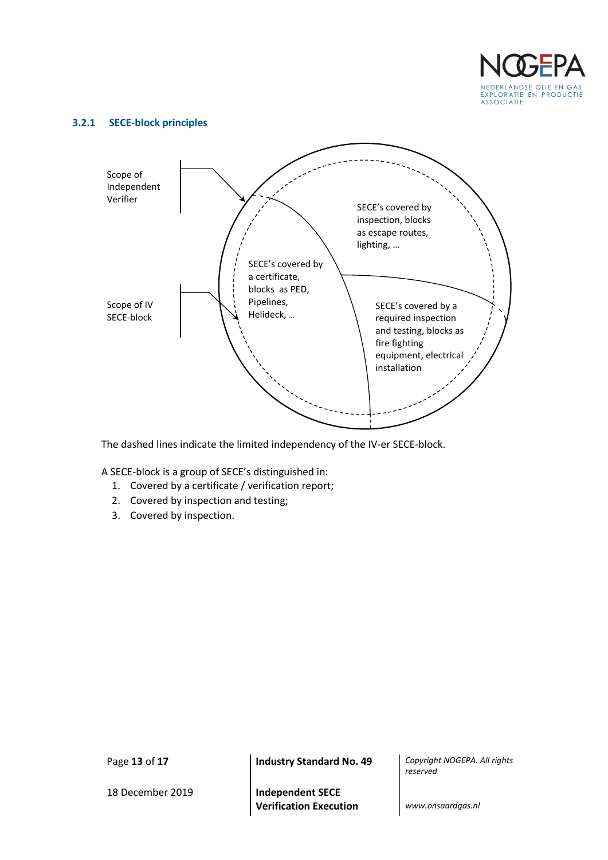

#### **3.2.1 SECE-block principles**

<span id="page-12-0"></span>

The dashed lines indicate the limited independency of the IV-er SECE-block.

A SECE-block is a group of SECE's distinguished in:

- 1. Covered by a certificate / verification report;
- 2. Covered by inspection and testing;
- 3. Covered by inspection.

Page **13** of **17 Industry Standard No. 49** *Copyright NOGEPA. All rights* 

18 December 2019 **Independent SECE Verification Execution** *www.onsaardgas.nl*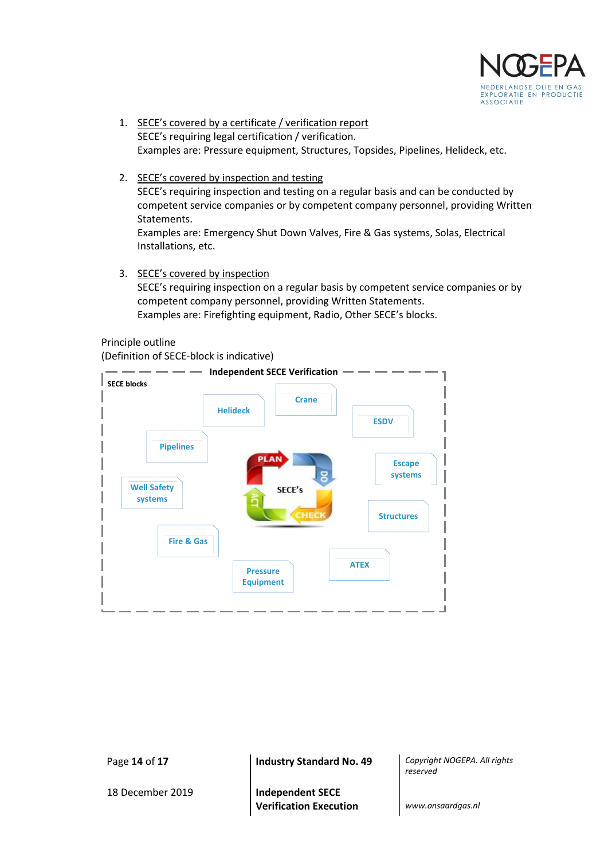

- 1. SECE's covered by a certificate / verification report SECE's requiring legal certification / verification. Examples are: Pressure equipment, Structures, Topsides, Pipelines, Helideck, etc.
- 2. SECE's covered by inspection and testing SECE's requiring inspection and testing on a regular basis and can be conducted by competent service companies or by competent company personnel, providing Written Statements. Examples are: Emergency Shut Down Valves, Fire & Gas systems, Solas, Electrical Installations, etc.
- 3. SECE's covered by inspection SECE's requiring inspection on a regular basis by competent service companies or by competent company personnel, providing Written Statements. Examples are: Firefighting equipment, Radio, Other SECE's blocks.





*reserved*

**Verification Execution** *www.onsaardgas.nl*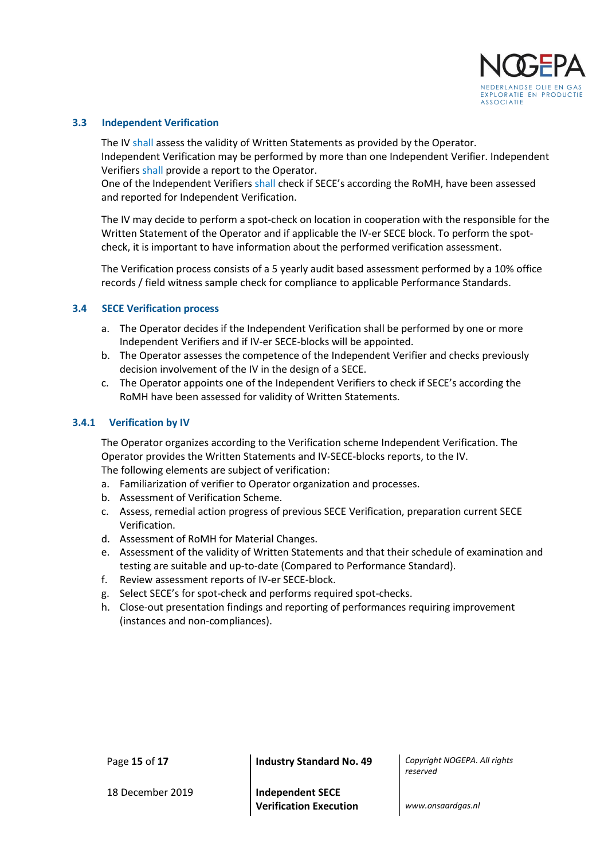

#### **3.3 Independent Verification**

<span id="page-14-0"></span>The IV shall assess the validity of Written Statements as provided by the Operator. Independent Verification may be performed by more than one Independent Verifier. Independent Verifiers shall provide a report to the Operator.

One of the Independent Verifiers shall check if SECE's according the RoMH, have been assessed and reported for Independent Verification.

The IV may decide to perform a spot-check on location in cooperation with the responsible for the Written Statement of the Operator and if applicable the IV-er SECE block. To perform the spotcheck, it is important to have information about the performed verification assessment.

<span id="page-14-1"></span>The Verification process consists of a 5 yearly audit based assessment performed by a 10% office records / field witness sample check for compliance to applicable Performance Standards.

#### **3.4 SECE Verification process**

- a. The Operator decides if the Independent Verification shall be performed by one or more Independent Verifiers and if IV-er SECE-blocks will be appointed.
- b. The Operator assesses the competence of the Independent Verifier and checks previously decision involvement of the IV in the design of a SECE.
- <span id="page-14-2"></span>c. The Operator appoints one of the Independent Verifiers to check if SECE's according the RoMH have been assessed for validity of Written Statements.

#### **3.4.1 Verification by IV**

The Operator organizes according to the Verification scheme Independent Verification. The Operator provides the Written Statements and IV-SECE-blocks reports, to the IV. The following elements are subject of verification:

- a. Familiarization of verifier to Operator organization and processes.
- b. Assessment of Verification Scheme.
- c. Assess, remedial action progress of previous SECE Verification, preparation current SECE Verification.
- d. Assessment of RoMH for Material Changes.
- e. Assessment of the validity of Written Statements and that their schedule of examination and testing are suitable and up-to-date (Compared to Performance Standard).
- f. Review assessment reports of IV-er SECE-block.
- g. Select SECE's for spot-check and performs required spot-checks.
- h. Close-out presentation findings and reporting of performances requiring improvement (instances and non-compliances).

Page **15** of **17 Industry Standard No. 49** *Copyright NOGEPA. All rights* 

18 December 2019 **Independent SECE Verification Execution** *www.onsaardgas.nl*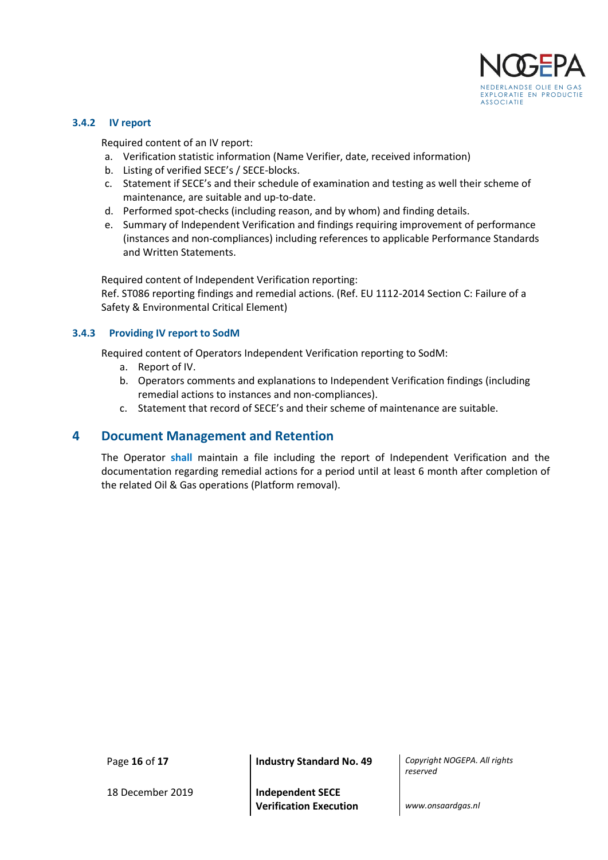

#### **3.4.2 IV report**

<span id="page-15-0"></span>Required content of an IV report:

- a. Verification statistic information (Name Verifier, date, received information)
- b. Listing of verified SECE's / SECE-blocks.
- c. Statement if SECE's and their schedule of examination and testing as well their scheme of maintenance, are suitable and up-to-date.
- d. Performed spot-checks (including reason, and by whom) and finding details.
- e. Summary of Independent Verification and findings requiring improvement of performance (instances and non-compliances) including references to applicable Performance Standards and Written Statements.

Required content of Independent Verification reporting: Ref. ST086 reporting findings and remedial actions. (Ref. EU 1112-2014 Section C: Failure of a Safety & Environmental Critical Element)

#### <span id="page-15-1"></span>**3.4.3 Providing IV report to SodM**

Required content of Operators Independent Verification reporting to SodM:

- a. Report of IV.
- b. Operators comments and explanations to Independent Verification findings (including remedial actions to instances and non-compliances).
- <span id="page-15-2"></span>c. Statement that record of SECE's and their scheme of maintenance are suitable.

#### **4 Document Management and Retention**

The Operator **shall** maintain a file including the report of Independent Verification and the documentation regarding remedial actions for a period until at least 6 month after completion of the related Oil & Gas operations (Platform removal).

18 December 2019 **Independent SECE** 

Page **16** of **17 Industry Standard No. 49** *Copyright NOGEPA. All rights* 

**Verification Execution** *www.onsaardgas.nl*